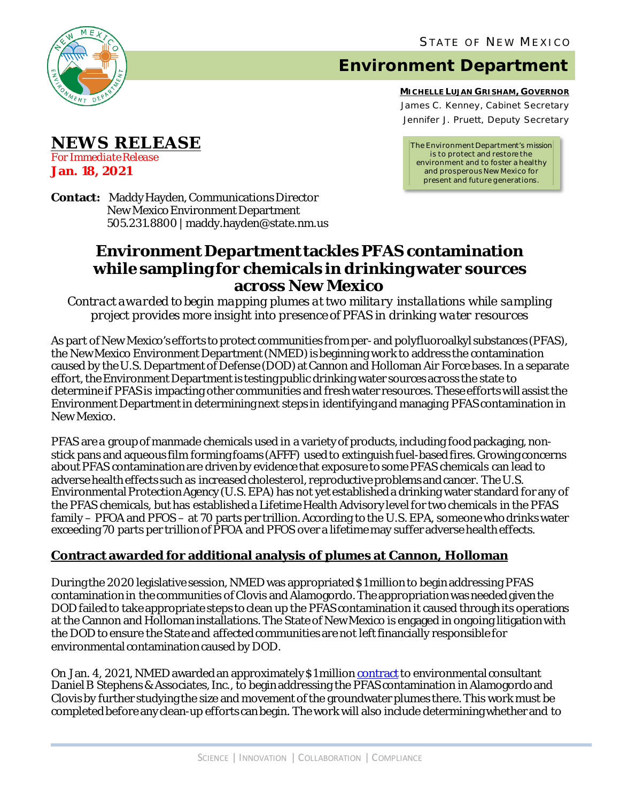

**NEWS RELEASE**

*For Immediate Release* **Jan. 18, 2021**

## **Environment Department**

**MICHELLE LUJAN GRISHAM, GOVERNOR** James C. Kenney, Cabinet Secretary Jennifer J. Pruett, Deputy Secretary

*The Environment Department's mission is to protect and restore the environment and to foster a healthy and prosperous New Mexico for present and future generations.*

**Contact:** Maddy Hayden, Communications Director New Mexico Environment Department 505.231.8800 | maddy.hayden@state.nm.us

## **Environment Department tackles PFAS contamination while sampling for chemicals in drinking water sources across New Mexico**

*Contract awarded to begin mapping plumes at two military installations while sampling project provides more insight into presence of PFAS in drinking water resources* 

As part of New Mexico's efforts to protect communities from per-and polyfluoroalkyl substances (PFAS), the New Mexico Environment Department (NMED) is beginning work to address the contamination caused by the U.S. Department of Defense (DOD) at Cannon and Holloman Air Force bases. In a separate effort, the Environment Department is testing public drinking water sources across the state to determine if PFAS is impacting other communities and fresh water resources. These efforts will assist the Environment Department in determining next steps in identifying and managing PFAS contamination in New Mexico.

PFAS are a group of manmade chemicals used in a variety of products, including food packaging, nonstick pans and aqueous film forming foams (AFFF) used to extinguish fuel-based fires. Growing concerns about PFAS contamination are driven by evidence that exposure to some PFAS chemicals can lead to adverse health effects such as increased cholesterol, reproductive problems and cancer. The U.S. Environmental Protection Agency (U.S. EPA) has not yet established a drinking water standard for any of the PFAS chemicals, but has established a Lifetime Health Advisory level for two chemicals in the PFAS family – PFOA and PFOS – at 70 parts per trillion. According to the U.S. EPA, someone who drinks water exceeding 70 parts per trillion of PFOA and PFOS over a lifetime may suffer adverse health effects.

## **Contract awarded for additional analysis of plumes at Cannon, Holloman**

During the 2020 legislative session, NMED was appropriated \$1 million to begin addressing PFAS contamination in the communities of Clovis and Alamogordo. The appropriation was needed given the DOD failed to take appropriate steps to clean up the PFAS contamination it caused through its operations at the Cannon and Holloman installations. The State of New Mexico is engaged in ongoing litigation with the DOD to ensure the State and affected communities are not leftfinancially responsible for environmental contamination caused by DOD.

On Jan. 4, 2021, NMED awarded an approximately \$1 million [contract](https://www.env.nm.gov/wp-content/uploads/2021/01/PFAS-sampling-contract.pdf) to environmental consultant Daniel B Stephens & Associates, Inc., to begin addressing the PFAS contamination in Alamogordo and Clovisby further studying the size and movement of the groundwater plumes there. This work must be completed before any clean-up efforts can begin. The work will also include determining whether and to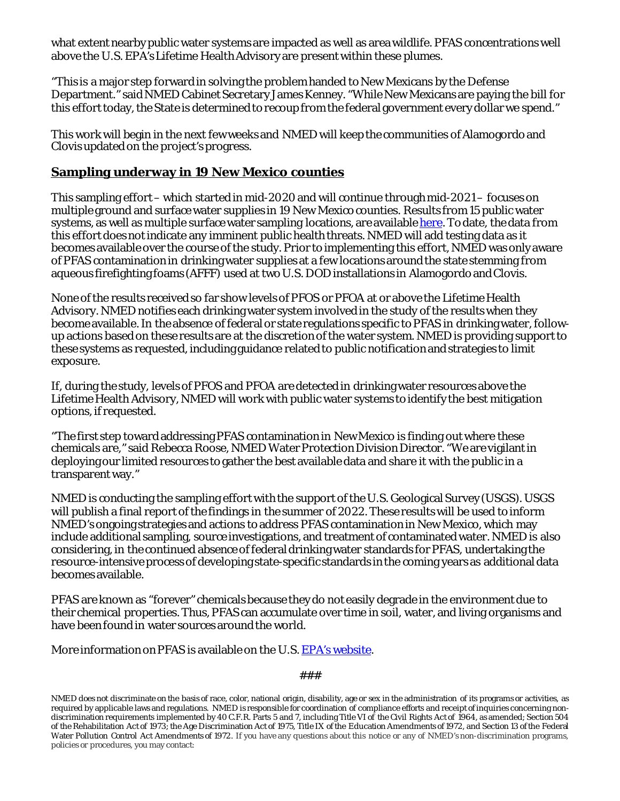what extent nearby public water systems are impacted as well as area wildlife. PFAS concentrations well above the U.S. EPA's Lifetime Health Advisory are present within these plumes.

"This is a major step forward in solving the problem handed to New Mexicans by the Defense Department." said NMED Cabinet Secretary James Kenney. "While New Mexicans are paying the bill for this effort today, the State is determined to recoup from the federal government every dollar we spend."

This work will begin in the next few weeks and NMED will keep the communities of Alamogordo and Clovis updated on the project's progress.

## **Sampling underway in 19 New Mexico counties**

This sampling effort –which started in mid-2020 and will continue through mid-2021 – focuses on multiple ground and surface water supplies in 19 New Mexico counties. Results from 15 public water systems, as well as multiple surface water sampling locations, are available [here.](https://www.env.nm.gov/pfas/data/) To date, the data from this effort does not indicate any imminent public health threats. NMED will add testing data as it becomes available over the course of the study. Prior to implementing this effort, NMED was only aware of PFAS contamination in drinking water supplies at a few locations around the state stemming from aqueous firefighting foams (AFFF) used at two U.S. DOD installations in Alamogordo and Clovis.

None of the results received so far show levels of PFOS or PFOA at or above the Lifetime Health Advisory. NMED notifies each drinking water system involved in the study of the results when they become available. In the absence of federal or state regulations specific to PFAS in drinking water, followup actions based on these results are at the discretion of the water system. NMED is providing support to these systems as requested, including guidance related to public notification and strategies to limit exposure.

If, during the study, levels of PFOS and PFOA are detected in drinking water resources above the Lifetime Health Advisory, NMED will work with public water systems to identify the best mitigation options, if requested.

"The first step toward addressing PFAS contamination in New Mexico is finding out where these chemicals are," said Rebecca Roose, NMED Water Protection Division Director. "We are vigilant in deploying our limited resources to gather the best available data and share it with the public in a transparent way."

NMED is conducting the sampling effort with the support of the U.S. Geological Survey (USGS). USGS will publish a final report of the findings in the summer of 2022. These results will be used to inform NMED's ongoing strategies and actions to address PFAS contamination in New Mexico, which may include additional sampling, source investigations, and treatment of contaminated water. NMED is also considering, in the continued absence of federal drinking water standards for PFAS, undertaking the resource-intensive process of developing state-specific standards in the coming years as additional data becomes available.

PFAS are known as "forever" chemicals because they do not easily degrade in the environment due to their chemical properties. Thus, PFAS can accumulate over time in soil, water, and living organisms and have been found in water sources around the world.

More information on PFAS is available on the U.S. EPA's website.

###

NMED does not discriminate on the basis of race, color, national origin, disability, age or sex in the administration of its programs or activities, as required by applicable laws and regulations. NMED is responsible for coordination of compliance efforts and receipt of inquiries concerning nondiscrimination requirements implemented by 40 C.F.R. Parts 5 and 7, including Title VI of the Civil Rights Act of 1964, as amended; Section 504 of the Rehabilitation Act of 1973; the Age Discrimination Act of 1975, Title IX of the Education Amendments of 1972, and Section 13 of the Federal Water Pollution Control Act Amendments of 1972. If you have any questions about this notice or any of NMED's non-discrimination programs, policies or procedures, you may contact: